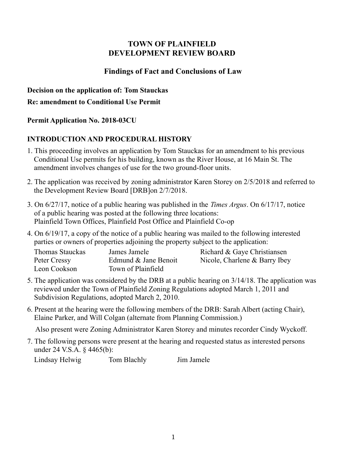## **TOWN OF PLAINFIELD DEVELOPMENT REVIEW BOARD**

## **Findings of Fact and Conclusions of Law**

**Decision on the application of: Tom Stauckas**

#### **Re: amendment to Conditional Use Permit**

## **Permit Application No. 2018-03CU**

# **INTRODUCTION AND PROCEDURAL HISTORY**

- 1. This proceeding involves an application by Tom Stauckas for an amendment to his previous Conditional Use permits for his building, known as the River House, at 16 Main St. The amendment involves changes of use for the two ground-floor units.
- 2. The application was received by zoning administrator Karen Storey on 2/5/2018 and referred to the Development Review Board [DRB]on 2/7/2018.
- 3. On 6/27/17, notice of a public hearing was published in the *Times Argus*. On 6/17/17, notice of a public hearing was posted at the following three locations: Plainfield Town Offices, Plainfield Post Office and Plainfield Co-op
- 4. On 6/19/17, a copy of the notice of a public hearing was mailed to the following interested parties or owners of properties adjoining the property subject to the application:

| Thomas Stauckas | James Jamele         | Richard & Gaye Christiansen   |
|-----------------|----------------------|-------------------------------|
| Peter Cressy    | Edmund & Jane Benoit | Nicole, Charlene & Barry Ibey |
| Leon Cookson    | Town of Plainfield   |                               |

- 5. The application was considered by the DRB at a public hearing on 3/14/18. The application was reviewed under the Town of Plainfield Zoning Regulations adopted March 1, 2011 and Subdivision Regulations, adopted March 2, 2010.
- 6. Present at the hearing were the following members of the DRB: Sarah Albert (acting Chair), Elaine Parker, and Will Colgan (alternate from Planning Commission.)

Also present were Zoning Administrator Karen Storey and minutes recorder Cindy Wyckoff.

7. The following persons were present at the hearing and requested status as interested persons under 24 V.S.A. § 4465(b):

Lindsay Helwig Tom Blachly Jim Jamele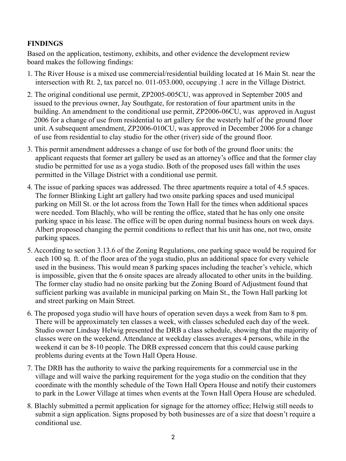## **FINDINGS**

Based on the application, testimony, exhibits, and other evidence the development review board makes the following findings:

- 1. The River House is a mixed use commercial/residential building located at 16 Main St. near the intersection with Rt. 2, tax parcel no. 011-053.000, occupying .1 acre in the Village District.
- 2. The original conditional use permit, ZP2005-005CU, was approved in September 2005 and issued to the previous owner, Jay Southgate, for restoration of four apartment units in the building. An amendment to the conditional use permit, ZP2006-06CU, was approved in August 2006 for a change of use from residential to art gallery for the westerly half of the ground floor unit. A subsequent amendment, ZP2006-010CU, was approved in December 2006 for a change of use from residential to clay studio for the other (river) side of the ground floor.
- 3. This permit amendment addresses a change of use for both of the ground floor units: the applicant requests that former art gallery be used as an attorney's office and that the former clay studio be permitted for use as a yoga studio. Both of the proposed uses fall within the uses permitted in the Village District with a conditional use permit.
- 4. The issue of parking spaces was addressed. The three apartments require a total of 4.5 spaces. The former Blinking Light art gallery had two onsite parking spaces and used municipal parking on Mill St. or the lot across from the Town Hall for the times when additional spaces were needed. Tom Blachly, who will be renting the office, stated that he has only one onsite parking space in his lease. The office will be open during normal business hours on week days. Albert proposed changing the permit conditions to reflect that his unit has one, not two, onsite parking spaces.
- 5. According to section 3.13.6 of the Zoning Regulations, one parking space would be required for each 100 sq. ft. of the floor area of the yoga studio, plus an additional space for every vehicle used in the business. This would mean 8 parking spaces including the teacher's vehicle, which is impossible, given that the 6 onsite spaces are already allocated to other units in the building. The former clay studio had no onsite parking but the Zoning Board of Adjustment found that sufficient parking was available in municipal parking on Main St., the Town Hall parking lot and street parking on Main Street.
- 6. The proposed yoga studio will have hours of operation seven days a week from 8am to 8 pm. There will be approximately ten classes a week, with classes scheduled each day of the week. Studio owner Lindsay Helwig presented the DRB a class schedule, showing that the majority of classes were on the weekend. Attendance at weekday classes averages 4 persons, while in the weekend it can be 8-10 people. The DRB expressed concern that this could cause parking problems during events at the Town Hall Opera House.
- 7. The DRB has the authority to waive the parking requirements for a commercial use in the village and will waive the parking requirement for the yoga studio on the condition that they coordinate with the monthly schedule of the Town Hall Opera House and notify their customers to park in the Lower Village at times when events at the Town Hall Opera House are scheduled.
- 8. Blachly submitted a permit application for signage for the attorney office; Helwig still needs to submit a sign application. Signs proposed by both businesses are of a size that doesn't require a conditional use.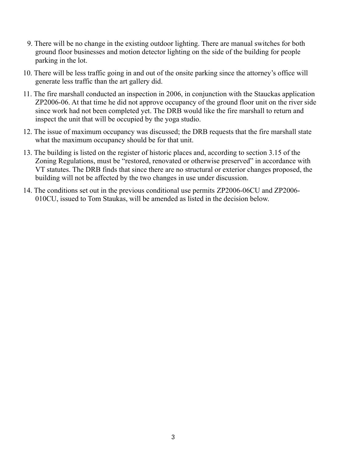- 9. There will be no change in the existing outdoor lighting. There are manual switches for both ground floor businesses and motion detector lighting on the side of the building for people parking in the lot.
- 10. There will be less traffic going in and out of the onsite parking since the attorney's office will generate less traffic than the art gallery did.
- 11. The fire marshall conducted an inspection in 2006, in conjunction with the Stauckas application ZP2006-06. At that time he did not approve occupancy of the ground floor unit on the river side since work had not been completed yet. The DRB would like the fire marshall to return and inspect the unit that will be occupied by the yoga studio.
- 12. The issue of maximum occupancy was discussed; the DRB requests that the fire marshall state what the maximum occupancy should be for that unit.
- 13. The building is listed on the register of historic places and, according to section 3.15 of the Zoning Regulations, must be "restored, renovated or otherwise preserved" in accordance with VT statutes. The DRB finds that since there are no structural or exterior changes proposed, the building will not be affected by the two changes in use under discussion.
- 14. The conditions set out in the previous conditional use permits ZP2006-06CU and ZP2006- 010CU, issued to Tom Staukas, will be amended as listed in the decision below.